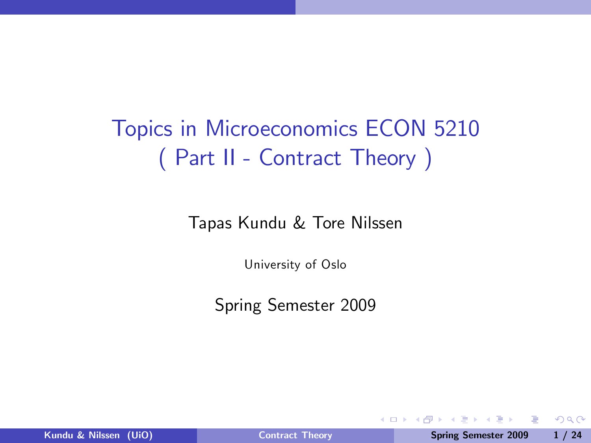# Topics in Microeconomics ECON 5210 ( Part II - Contract Theory )

Tapas Kundu & Tore Nilssen

University of Oslo

Spring Semester 2009

4 0 8

重

<span id="page-0-0"></span> $QQ$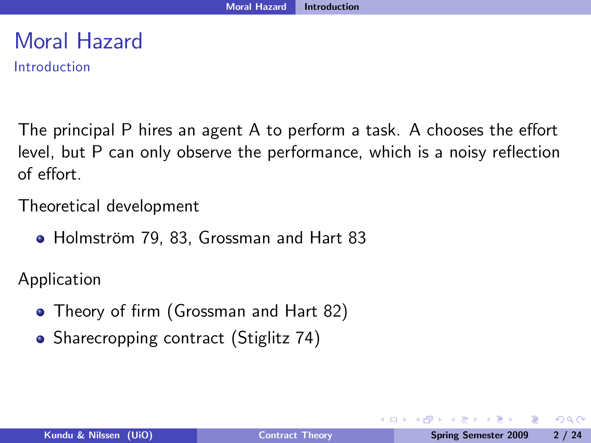# Moral Hazard

Introduction

The principal P hires an agent A to perform a task. A chooses the effort level, but P can only observe the performance, which is a noisy reflection of e§ort.

Theoretical development

• Holmström 79, 83, Grossman and Hart 83

Application

- Theory of firm (Grossman and Hart 82)
- Sharecropping contract (Stiglitz 74)

4 0 8

 $\Omega$ 

ヨメコヨメ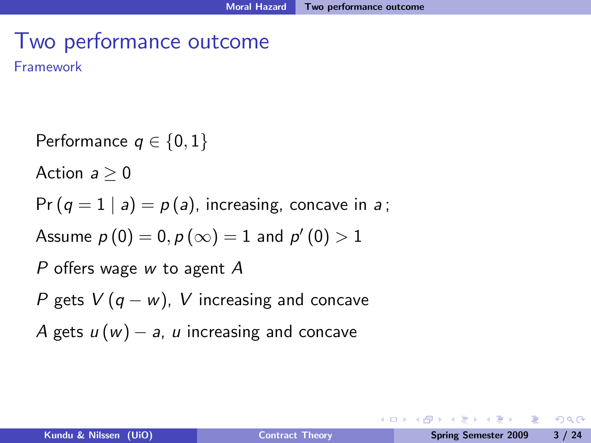# Two performance outcome

Framework

Performance  $q \in \{0, 1\}$ Action  $a > 0$  $Pr(q = 1 | a) = p(a)$ , increasing, concave in a; Assume  $p(0) = 0, p(\infty) = 1$  and  $p'(0) > 1$ P offers wage w to agent  $A$ P gets  $V(q - w)$ , V increasing and concave A gets  $u(w) - a$ , u increasing and concave

**KERKER E KAQO**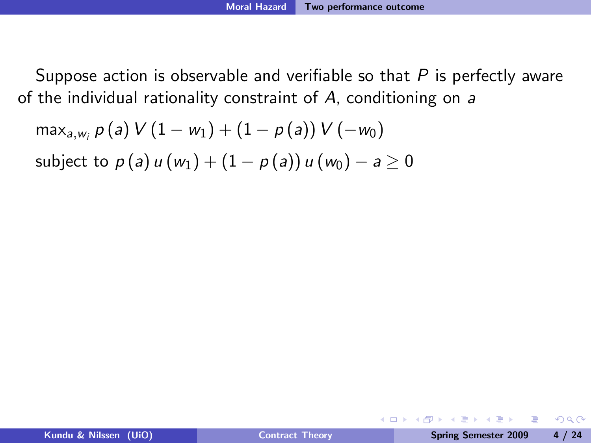$$
\max_{a, w_i} p(a) V (1 - w_1) + (1 - p(a)) V(-w_0)
$$
  
subject to  $p(a) u(w_1) + (1 - p(a)) u(w_0) - a \ge 0$ 

ミドマミド

**◆ ロ ▶ → 何**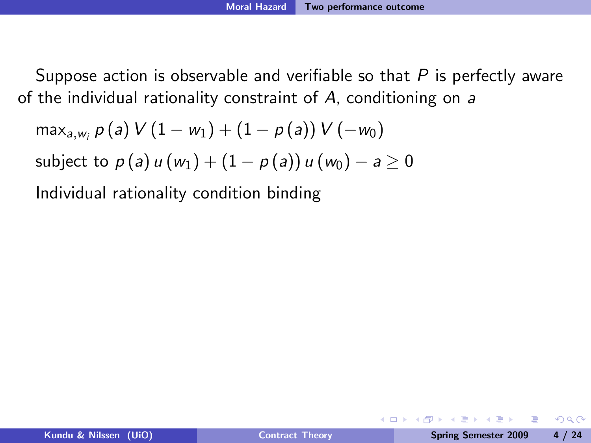$$
\max_{a, w_i} p(a) V(1 - w_1) + (1 - p(a)) V(-w_0)
$$
  
subject to  $p(a) u(w_1) + (1 - p(a)) u(w_0) - a \ge 0$   
Individual rationality condition binding

化重压 化重压

**← ロ ▶ → イ 冊**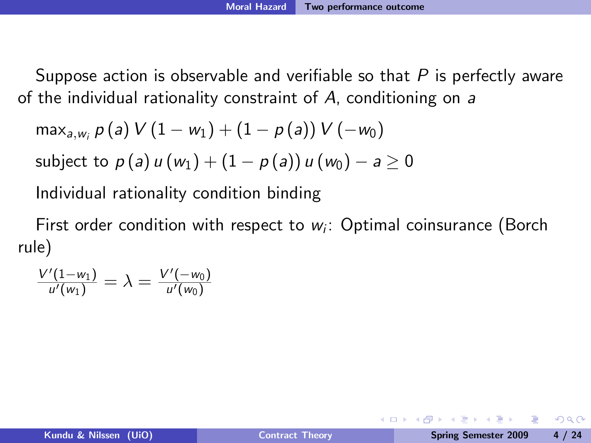$$
\mathsf{max}_{\mathsf{a},w_i} \, \rho\left(\mathsf{a}\right) \, V\left(1-w_1\right) + \left(1-\rho\left(\mathsf{a}\right)\right) \, V\left(-w_0\right) \\ \text{subject to } \rho\left(\mathsf{a}\right) \, u\left(w_1\right) + \left(1-\rho\left(\mathsf{a}\right)\right) \, u\left(w_0\right) - \mathsf{a} \geq 0
$$

Individual rationality condition binding

First order condition with respect to  $w_i$ : Optimal coinsurance (Borch rule)

$$
\frac{V'(1-w_1)}{u'(w_1)} = \lambda = \frac{V'(-w_0)}{u'(w_0)}
$$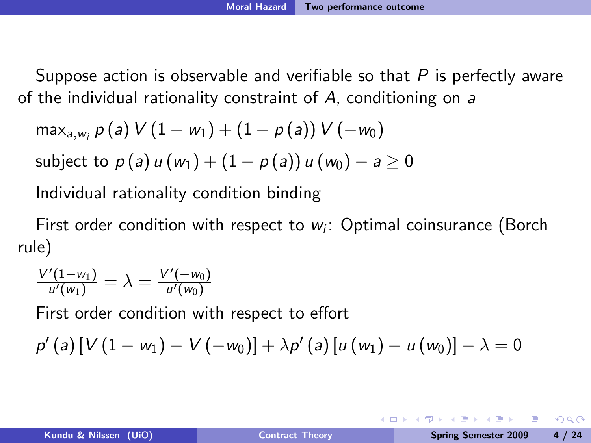$$
\max_{a, w_i} p(a) V (1 - w_1) + (1 - p(a)) V (-w_0)
$$

subject to 
$$
p(a)u(w_1) + (1 - p(a))u(w_0) - a \ge 0
$$

Individual rationality condition binding

First order condition with respect to  $w_i$ : Optimal coinsurance (Borch rule)

$$
\frac{V'(1-w_1)}{u'(w_1)} = \lambda = \frac{V'(-w_0)}{u'(w_0)}
$$

First order condition with respect to effort

$$
p'(a) [V (1 - w1) - V (-w0)] + \lambda p'(a) [u (w1) - u (w0)] - \lambda = 0
$$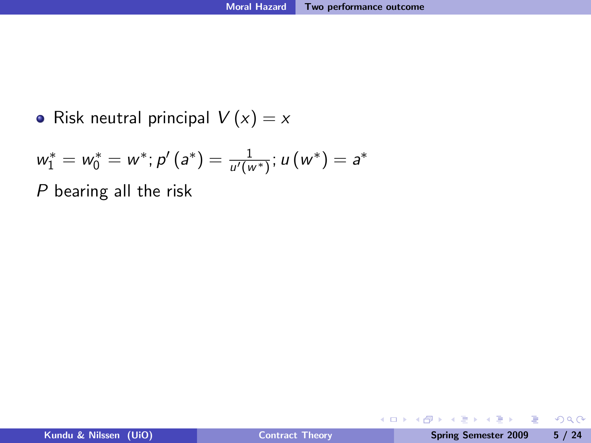• Risk neutral principal  $V(x) = x$ 

$$
w_1^* = w_0^* = w^*; p'(a^*) = \frac{1}{u'(w^*)}; u(w^*) = a^*
$$

P bearing all the risk

 $\equiv$ 

 $299$ 

 $\mathbb{B} \rightarrow \mathbb{R} \oplus \mathbb{B} \rightarrow$ 

 $\mathcal{A}$  .

**◆ロト ◆伊ト**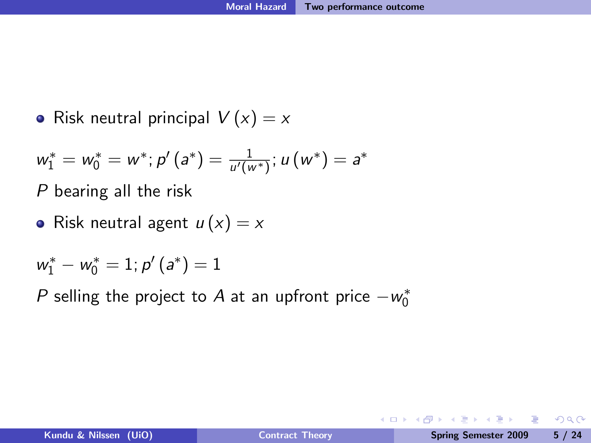• Risk neutral principal  $V(x) = x$ 

$$
w_1^* = w_0^* = w^*; p'(a^*) = \frac{1}{u'(w^*)}; u(w^*) = a^*
$$

P bearing all the risk

• Risk neutral agent  $u(x) = x$ 

$$
w_1^* - w_0^* = 1; p'(a^*) = 1
$$

 $P$  selling the project to  $A$  at an upfront price  $-w_0^*$ 

D.

**← ロ ▶ → イ 冊** 

 $ORO$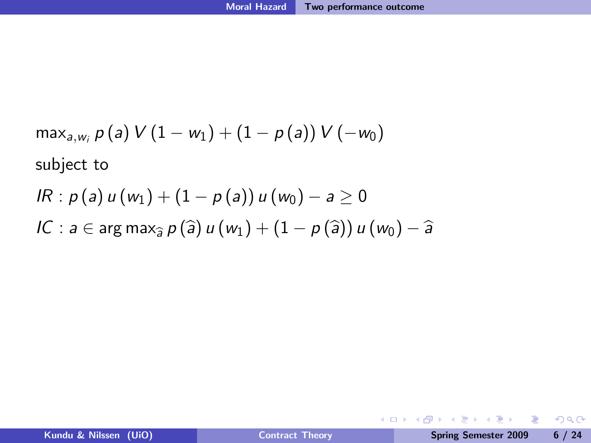$$
\begin{aligned}\n\max_{a, w_i} p(a) \ V(1 - w_1) + (1 - p(a)) \ V(-w_0) \\
\text{subject to} \\
R: p(a) \ u(w_1) + (1 - p(a)) \ u(w_0) - a &\ge 0 \\
IC: a \in \arg \max_{\widehat{a}} p(\widehat{a}) \ u(w_1) + (1 - p(\widehat{a})) \ u(w_0) - \widehat{a}\n\end{aligned}
$$

K ロ ▶ K @ ▶ K 할 ▶ K 할 ▶ → 할 → 9 Q @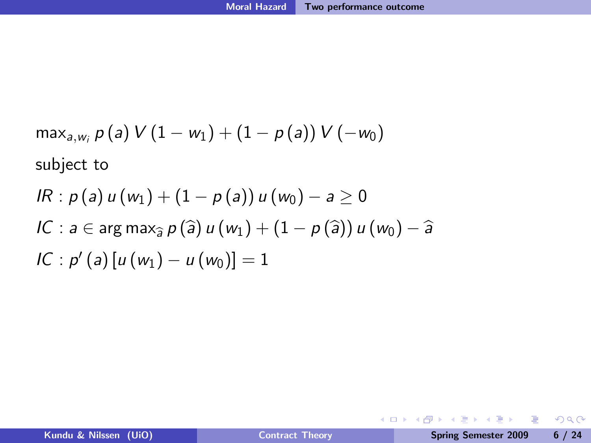$$
\max_{a, w_i} p(a) V (1 - w_1) + (1 - p(a)) V(-w_0)
$$
\nsubject to\n
$$
IR: p(a) u(w_1) + (1 - p(a)) u(w_0) - a \ge 0
$$
\n
$$
IC: a \in \arg \max_{\hat{a}} p(\hat{a}) u(w_1) + (1 - p(\hat{a})) u(w_0) - \hat{a}
$$
\n
$$
IC: p'(a) [u(w_1) - u(w_0)] = 1
$$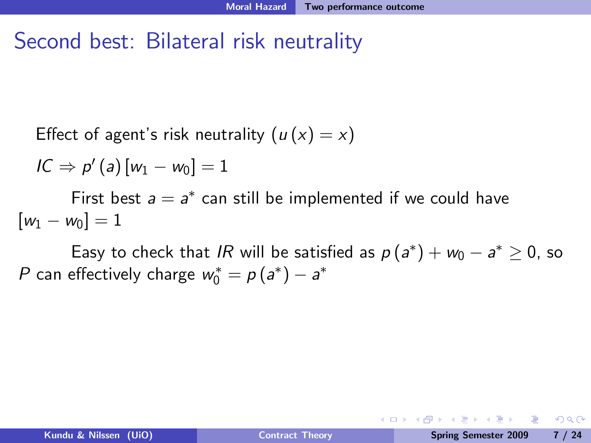#### Second best: Bilateral risk neutrality

Effect of agent's risk neutrality 
$$
(u(x) = x)
$$

$$
IC \Rightarrow p'(a)[w_1 - w_0] = 1
$$

First best  $a = a^*$  can still be implemented if we could have  $[w_1 - w_0] = 1$ 

Easy to check that *IR* will be satisfied as  $p(a^*) + w_0 - a^* \ge 0$ , so P can effectively charge  $w_0^* = p(a^*) - a^*$ 

**Single Street** 

**◆ ロ ▶ → 何** 

 $\eta$ aa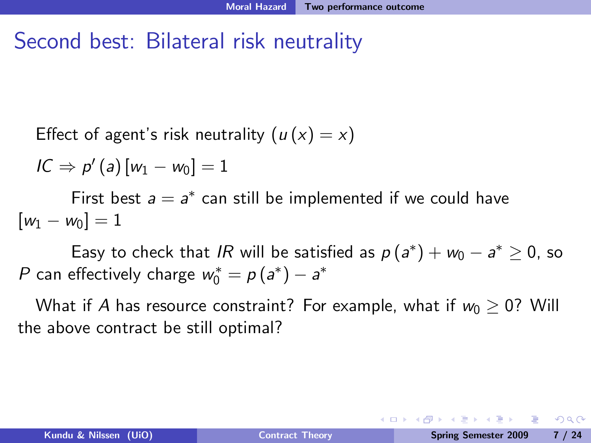#### Second best: Bilateral risk neutrality

Effect of agent's risk neutrality 
$$
(u(x) = x)
$$

$$
IC \Rightarrow p'(a)[w_1 - w_0] = 1
$$

First best  $a = a^*$  can still be implemented if we could have  $[w_1 - w_0] = 1$ 

Easy to check that *IR* will be satisfied as  $p(a^*) + w_0 - a^* \ge 0$ , so P can effectively charge  $w_0^* = p(a^*) - a^*$ 

What if A has resource constraint? For example, what if  $w_0 > 0$ ? Will the above contract be still optimal?

 $\equiv$   $\cap$   $\alpha$ 

**A BAKABA**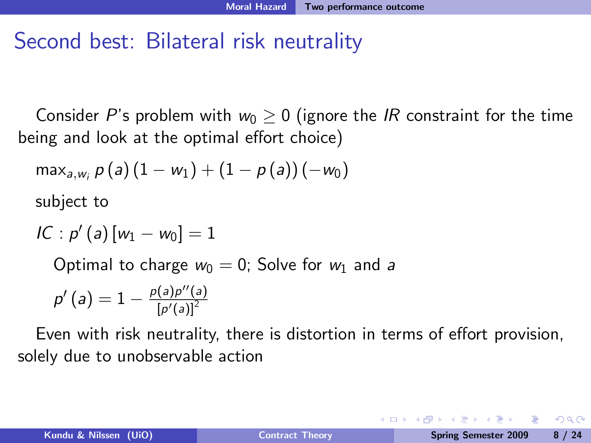#### Second best: Bilateral risk neutrality

Consider P's problem with  $w_0 \geq 0$  (ignore the IR constraint for the time being and look at the optimal effort choice)

$$
\max\nolimits_{a,w_i} p(a) (1 - w_1) + (1 - p(a)) (-w_0)
$$

subject to

$$
IC: p'(a) [w_1 - w_0] = 1
$$

Optimal to charge  $w_0 = 0$ ; Solve for  $w_1$  and a

$$
p'\left(a\right)=1-\tfrac{p(a)p''(a)}{\left[p'(a)\right]^2}
$$

Even with risk neutrality, there is distortion in terms of effort provision, solely due to unobservable action

 $\Omega$ 

化重压 化重压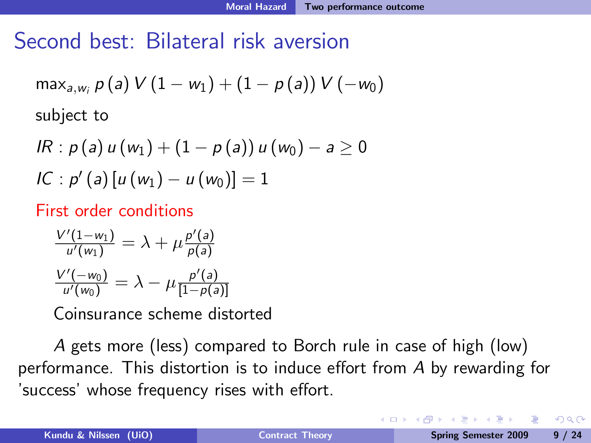#### Second best: Bilateral risk aversion

$$
\max_{a, w_i} p(a) V (1 - w_1) + (1 - p(a)) V (-w_0)
$$
  
subject to

$$
IR: p(a) u(w1) + (1 - p(a)) u(w0) - a \ge 0
$$
  

$$
IC: p'(a) [u(w1) - u(w0)] = 1
$$

First order conditions

$$
\frac{V'(1-w_1)}{u'(w_1)} = \lambda + \mu \frac{p'(a)}{p(a)}
$$

$$
\frac{V'(-w_0)}{u'(w_0)} = \lambda - \mu \frac{p'(a)}{[1-p(a)]}
$$

Coinsurance scheme distorted

A gets more (less) compared to Borch rule in case of high (low) performance. This distortion is to induce effort from  $A$  by rewarding for 'success' whose frequency rises with effort.

 $\Omega$ 

重き マラキ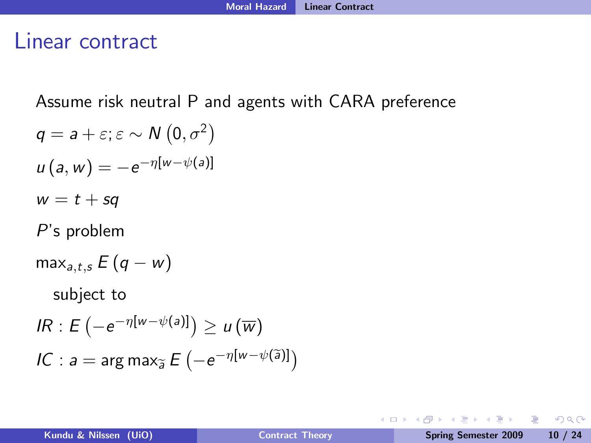#### Linear contract

Assume risk neutral P and agents with CARA preference

 $q = a + \varepsilon; \varepsilon \sim N(0, \sigma^2)$  $u(a, w) = -e^{-\eta [w - \psi(a)]}$  $w = t + sq$ P's problem  $\max_{a,t,s} E(q-w)$ subject to  $IR: E(-e^{-\eta [w-\psi(a)]}) \geq u(\overline{w})$  $\textit{IC}: \textit{a} = \arg \max_{\widetilde{\textit{a}}} E\left(-e^{-\eta [w - \psi(\widetilde{\textit{a}})]}\right)$ 

 $\Omega$ 

イロト イ押 トイヨ トイヨ トーヨー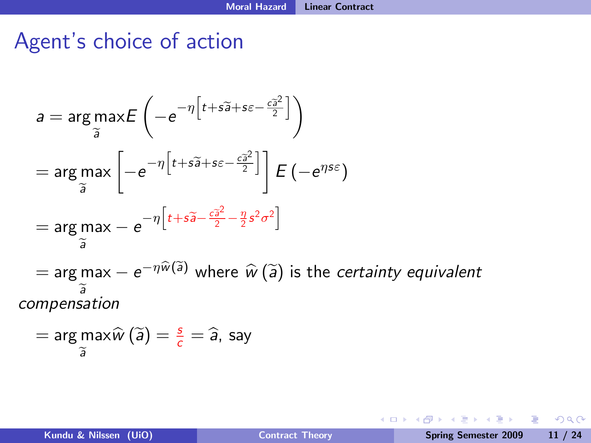## Agent's choice of action

$$
a = \arg \max_{\widetilde{a}} E\left(-e^{-\eta \left[t + s\widetilde{a} + s\varepsilon - \frac{c\widetilde{a}^2}{2}\right]}\right)
$$
  
\n
$$
= \arg \max_{\widetilde{a}} \left[-e^{-\eta \left[t + s\widetilde{a} + s\varepsilon - \frac{c\widetilde{a}^2}{2}\right]}\right] E\left(-e^{\eta s\varepsilon}\right)
$$
  
\n
$$
= \arg \max_{\widetilde{a}} - e^{-\eta \left[t + s\widetilde{a} - \frac{c\widetilde{a}^2}{2} - \frac{\eta}{2}s^2\sigma^2\right]}
$$
  
\n
$$
= \arg \max_{\widetilde{a}} - e^{-\eta \widehat{w}(\widetilde{a})} \text{ where } \widehat{w}(\widetilde{a}) \text{ is the certainty equivalent\ncompensation
$$

$$
= \arg\max_{\widetilde{a}} \widehat{w}\left(\widetilde{a}\right) = \frac{s}{c} = \widehat{a}, \text{ say}
$$

 $\equiv$ 

 $299$ 

イロン イ母ン イヨン イヨン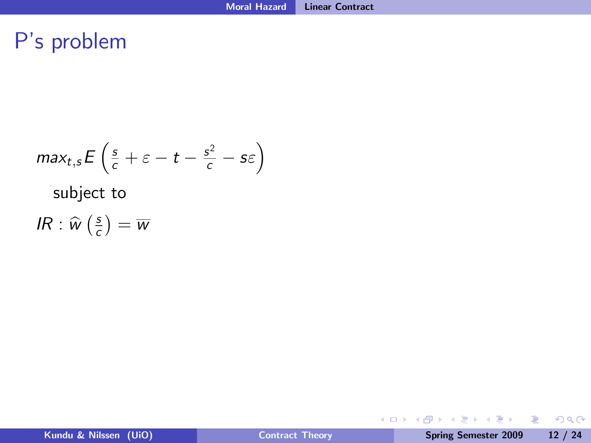### P's problem

$$
max_{t,s} E\left(\frac{s}{c} + \varepsilon - t - \frac{s^2}{c} - s\varepsilon\right)
$$
  
subject to  

$$
IR: \widehat{w}\left(\frac{s}{c}\right) = \overline{w}
$$

K ロ > K @ > K 할 > K 할 > → 할 → ⊙ Q @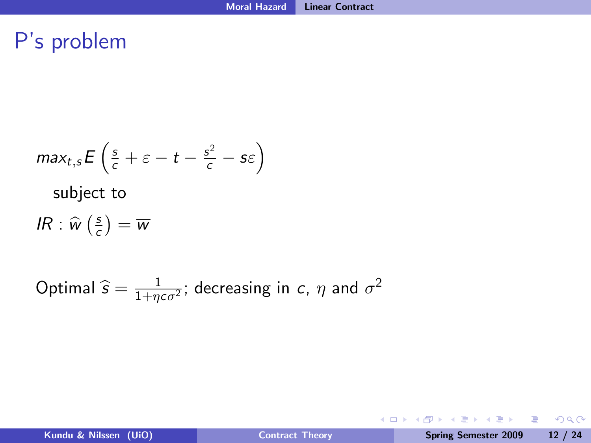#### P's problem

$$
max_{t,s} E\left(\frac{s}{c} + \varepsilon - t - \frac{s^2}{c} - s\varepsilon\right)
$$
\nsubject to

\n
$$
IR: \widehat{w}\left(\frac{s}{c}\right) = \overline{w}
$$
\nOptimal  $\widehat{s} = \frac{1}{1 + \eta c \sigma^2}$ ; decreasing in  $c, \eta$  and  $\sigma^2$ 

K ロ ▶ K 個 ▶ K 글 ▶ K 글 ▶ │ 글 │ K 9 Q Q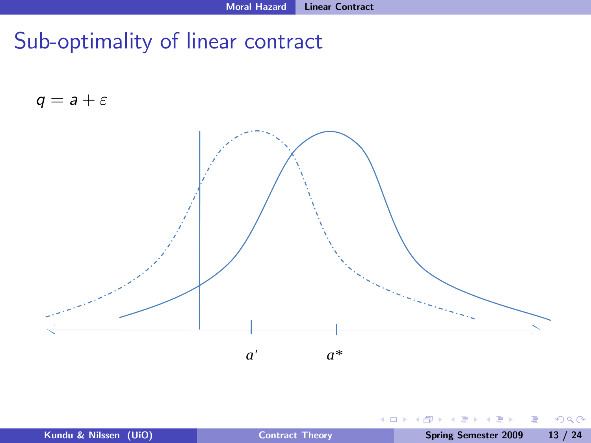## Sub-optimality of linear contract

 $q = a + \varepsilon$ 



| Kundu & Nilssen (UiO) |  |
|-----------------------|--|
|                       |  |

4 0 8

÷.

41

Þ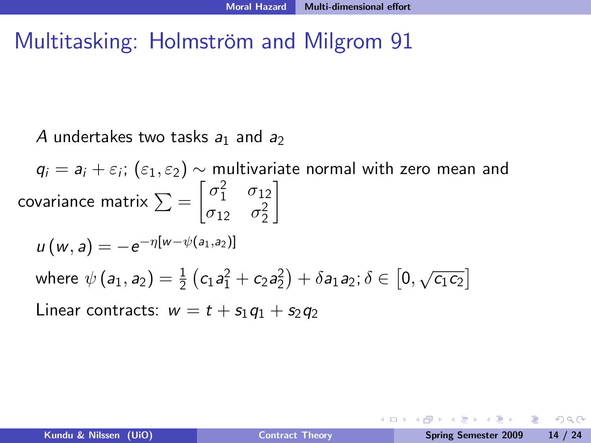#### Multitasking: Holmström and Milgrom 91

A undertakes two tasks  $a_1$  and  $a_2$ 

 $q_i = a_i + \varepsilon_i$ ;  $(\varepsilon_1, \varepsilon_2) \sim$  multivariate normal with zero mean and covariance matrix  $\sum = \begin{bmatrix} \sigma_1^2 & \sigma_{12} \\ \sigma_2^2 & \sigma_{22}^2 \end{bmatrix}$  $\sigma_{12}$   $\sigma_2^2$ 1  $u(w, a) = -e^{-\eta [w - \psi(a_1, a_2)]}$ where  $\psi(a_1, a_2) = \frac{1}{2} (c_1 a_1^2 + c_2 a_2^2) + \delta a_1 a_2; \delta \in [0, \sqrt{c_1 c_2}]$ Linear contracts:  $w = t + s_1q_1 + s_2q_2$ 

**KERKER E MAG**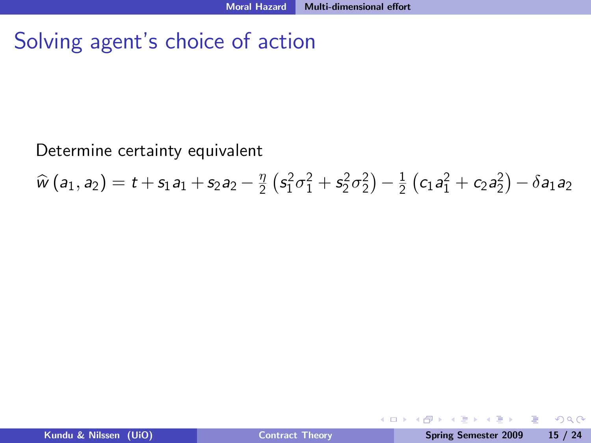### Solving agent's choice of action

#### Determine certainty equivalent

 $\widehat{w}(a_1, a_2) = t + s_1a_1 + s_2a_2 - \frac{\eta}{2}$  $\frac{\eta}{2} \left( s_1^2 \sigma_1^2 + s_2^2 \sigma_2^2 \right) - \frac{1}{2}$  $\frac{1}{2}(c_1a_1^2+c_2a_2^2)-\delta a_1a_2$ 

**∢口 ▶ ∢母** 

 $\mathbb{B} \rightarrow \mathbb{C}$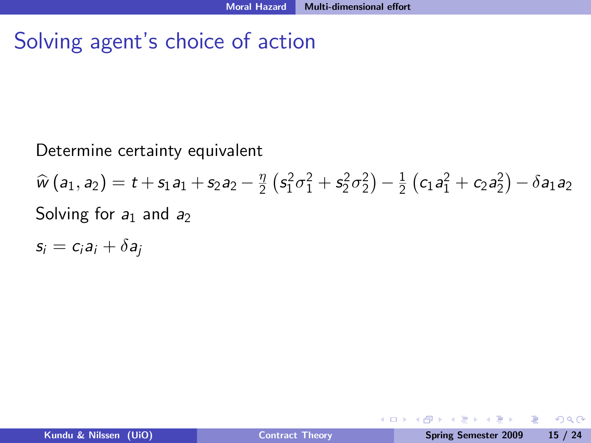### Solving agent's choice of action

#### Determine certainty equivalent

 $\widehat{w}(a_1, a_2) = t + s_1a_1 + s_2a_2 - \frac{\eta}{2}$  $\frac{\eta}{2} \left( s_1^2 \sigma_1^2 + s_2^2 \sigma_2^2 \right) - \frac{1}{2}$  $\frac{1}{2}(c_1a_1^2+c_2a_2^2)-\delta a_1a_2$ Solving for  $a_1$  and  $a_2$ 

 $s_i = c_i a_i + \delta a_i$ 

 $200$ 

**∢口 ▶ ∢母**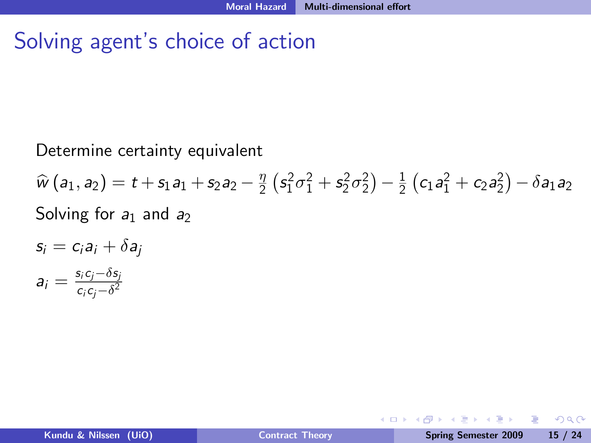### Solving agent's choice of action

#### Determine certainty equivalent

 $\widehat{w}(a_1, a_2) = t + s_1a_1 + s_2a_2 - \frac{\eta}{2}$  $\frac{\eta}{2} \left( s_1^2 \sigma_1^2 + s_2^2 \sigma_2^2 \right) - \frac{1}{2}$  $\frac{1}{2}(c_1a_1^2+c_2a_2^2)-\delta a_1a_2$ Solving for  $a_1$  and  $a_2$ 

$$
s_i = c_i a_i + \delta a_j
$$

$$
a_i = \frac{s_i c_j - \delta s_j}{c_i c_j - \delta^2}
$$

 $200$ 

**← ロ ▶ → イ 冊**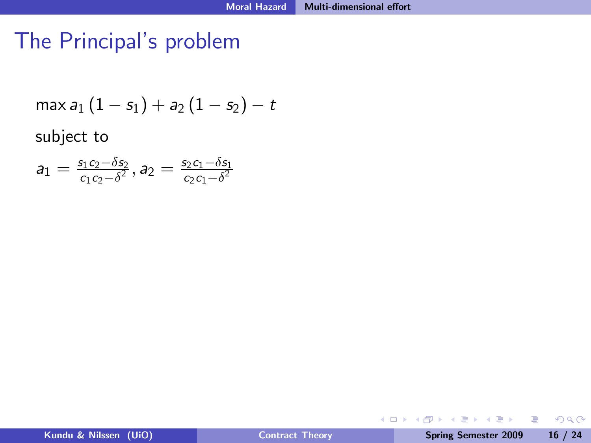# The Principal's problem

$$
\max a_1 (1 - s_1) + a_2 (1 - s_2) - t
$$

subject to

$$
\mathsf{a}_1=\tfrac{s_1c_2-\delta s_2}{c_1c_2-\delta^2},\mathsf{a}_2=\tfrac{s_2c_1-\delta s_1}{c_2c_1-\delta^2}
$$

Þ

 $299$ 

ミメ マミメ

**←ロト ← 伊** 

 $\mathbf{p}$  $\mathcal{A}$  .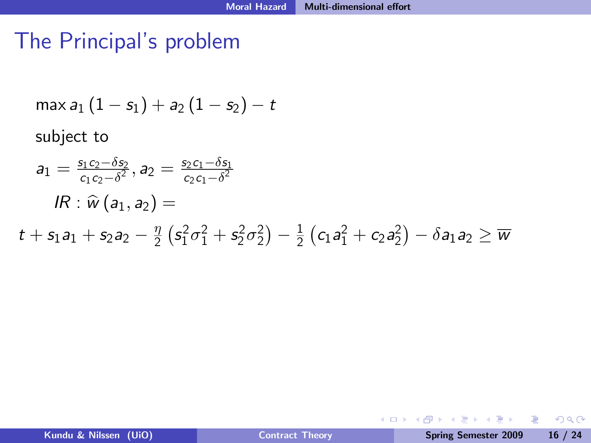## The Principal's problem

$$
\max a_1 (1 - s_1) + a_2 (1 - s_2) - t
$$

subject to

$$
a_1 = \frac{s_1 c_2 - \delta s_2}{c_1 c_2 - \delta^2}, a_2 = \frac{s_2 c_1 - \delta s_1}{c_2 c_1 - \delta^2}
$$
  
\n
$$
IR: \widehat{w}(a_1, a_2) =
$$
  
\n
$$
t + s_1 a_1 + s_2 a_2 - \frac{\eta}{2} (s_1^2 \sigma_1^2 + s_2^2 \sigma_2^2) - \frac{1}{2} (c_1 a_1^2 + c_2 a_2^2) - \delta a_1 a_2 \ge \overline{w}
$$

4 0 8

 $\equiv$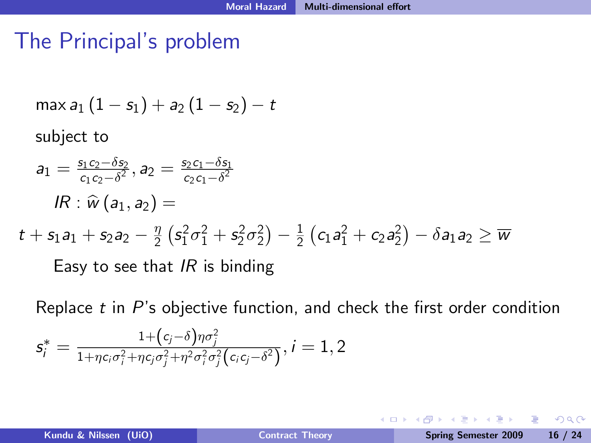## The Principal's problem

$$
\max a_1 (1 - s_1) + a_2 (1 - s_2) - t
$$

subject to

$$
a_1 = \frac{s_1 c_2 - \delta s_2}{c_1 c_2 - \delta^2}, a_2 = \frac{s_2 c_1 - \delta s_1}{c_2 c_1 - \delta^2}
$$

$$
IR: \widehat{w}(a_1, a_2) =
$$

$$
t + s_1 a_1 + s_2 a_2 - \frac{\eta}{2} \left( s_1^2 \sigma_1^2 + s_2^2 \sigma_2^2 \right) - \frac{1}{2} \left( c_1 a_1^2 + c_2 a_2^2 \right) - \delta a_1 a_2 \geq \overline{w}
$$

Easy to see that  $IR$  is binding

Replace  $t$  in  $P$ 's objective function, and check the first order condition  $\textit{\textsf{s}}_{i}^* = \frac{1+(c_{j}-\delta)\eta\sigma_{j}^{2}}{1+n c_{i}\sigma_{+}^{2}+n c_{i}\sigma_{+}^{2}+n^{2}\sigma_{-}^{2}\sigma_{-}^{2}}$  $\frac{1+\gamma c_i\sigma_i^2+\eta c_j\sigma_j^2+\eta^2\sigma_i^2\sigma_j^2(c_ic_j-\delta^2)}{1+\eta c_i\sigma_i^2+\eta c_j\sigma_j^2\sigma_j^2(c_ic_j-\delta^2)}, i=1,2$ 

4 0 8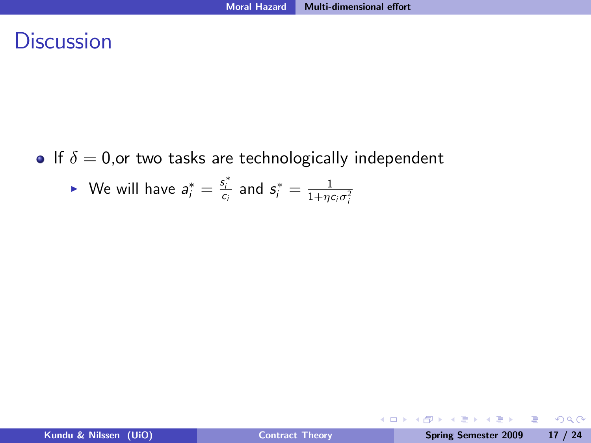#### **Discussion**

- If  $\delta = 0$ , or two tasks are technologically independent
	- ▶ We will have  $a_i^* = \frac{s_i^*}{c_i}$  and  $s_i^* = \frac{1}{1 + \eta c_i \sigma_i^2}$

重

ヨメ イヨメ

**← ロ ▶ → イ 冊**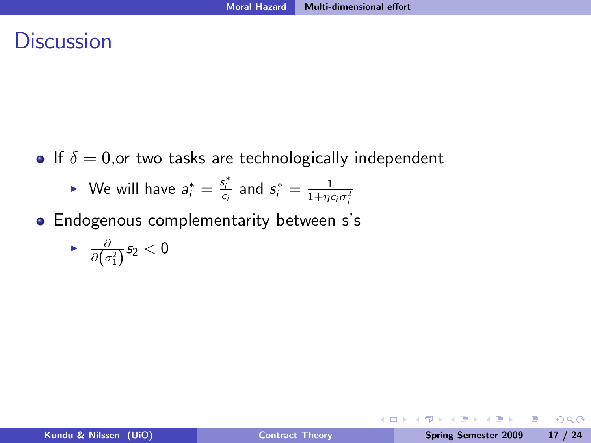#### **Discussion**

- If  $\delta = 0$ , or two tasks are technologically independent
	- ▶ We will have  $a_i^* = \frac{s_i^*}{c_i}$  and  $s_i^* = \frac{1}{1 + \eta c_i \sigma_i^2}$
- **•** Endogenous complementarity between s's

$$
\quad \bullet \quad \tfrac{\partial}{\partial \big(\sigma_1^2\big)} s_2 < 0
$$

4 0 8 1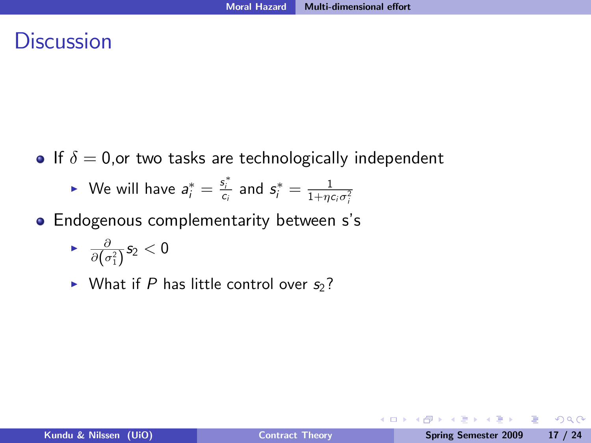#### **Discussion**

- If  $\delta = 0$ , or two tasks are technologically independent
	- ▶ We will have  $a_i^* = \frac{s_i^*}{c_i}$  and  $s_i^* = \frac{1}{1 + \eta c_i \sigma_i^2}$
- **Endogenous complementarity between s's**

$$
\quad \bullet \quad \tfrac{\partial}{\partial \big(\sigma_1^2\big)} s_2 < 0
$$

 $\triangleright$  What if P has little control over  $s_2$ ?

4 0 8 1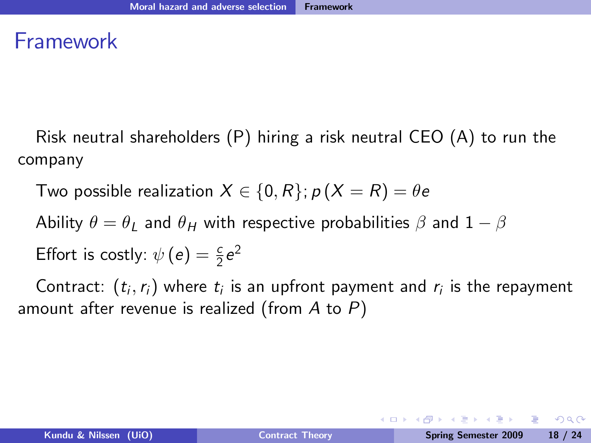#### Framework

Risk neutral shareholders (P) hiring a risk neutral CEO (A) to run the company

Two possible realization  $X \in \{0, R\}$ ;  $p (X = R) = \theta e$ 

Ability  $\theta = \theta_I$  and  $\theta_H$  with respective probabilities  $\beta$  and  $1 - \beta$ 

Effort is costly: 
$$
\psi(e) = \frac{c}{2}e^2
$$

Contract:  $\left(t_{i}, r_{i}\right)$  where  $t_{i}$  is an upfront payment and  $r_{i}$  is the repayment amount after revenue is realized (from  $A$  to  $P$ )

KED KAD KED KED E LAGA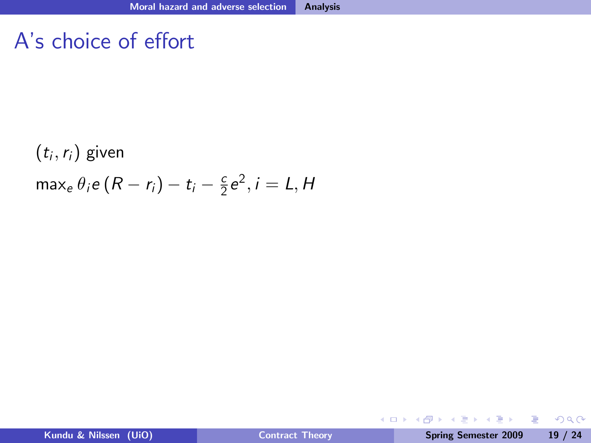#### A's choice of effort

 $(t_i,r_i)$  given max<sub>e</sub>  $\theta_i$ e  $(R - r_i) - t_i - \frac{c}{2}$  $\frac{c}{2}e^2$ ,  $i = L$ , H

÷  $\sim$ 

**← ロ ▶ → イ 冊** 

 $\equiv$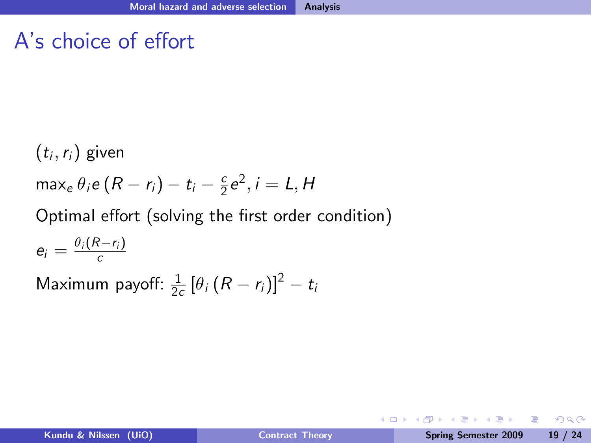#### A's choice of effort

 $(t_i,r_i)$  given max<sub>e</sub>  $\theta_i$ e  $(R - r_i) - t_i - \frac{c}{2}$  $\frac{c}{2}e^2$ ,  $i = L$ , H Optimal effort (solving the first order condition)  $e_i = \frac{\theta_i (R-r_i)}{c}$ 

Maximum payoff:  $\frac{1}{2}$  $\frac{1}{2c} [\theta_{i} (R - r_{i})]^{2} - t_{i}$ 

**◆ ロ ▶ → 何**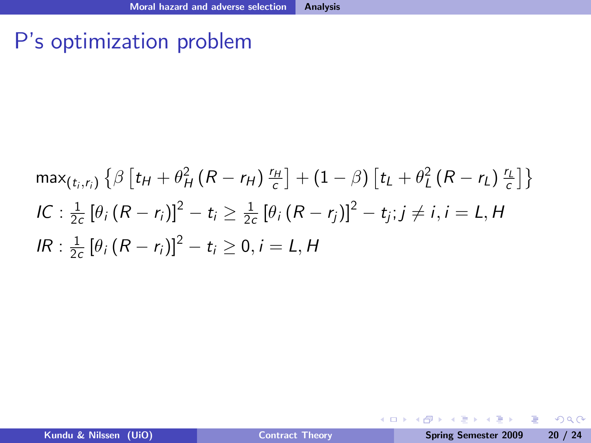### P's optimization problem

$$
\max_{(t_i,r_i)} \left\{ \beta \left[ t_H + \theta^2_H (R - r_H) \frac{r_H}{c} \right] + (1 - \beta) \left[ t_L + \theta^2_L (R - r_L) \frac{r_L}{c} \right] \right\}
$$
  
\nIC:  $\frac{1}{2c} \left[ \theta_i (R - r_i) \right]^2 - t_i \ge \frac{1}{2c} \left[ \theta_i (R - r_j) \right]^2 - t_j; j \ne i, i = L, H$   
\nIR:  $\frac{1}{2c} \left[ \theta_i (R - r_i) \right]^2 - t_i \ge 0, i = L, H$ 

 $\equiv$ 

 $299$ 

イロト イ伊 トイヨ トイヨト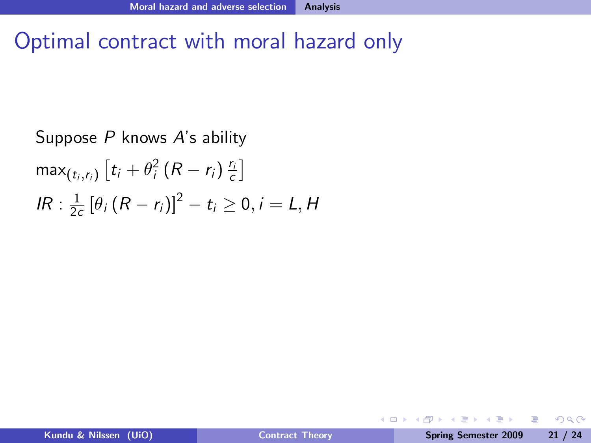# Optimal contract with moral hazard only

Suppose  $P$  knows  $A$ 's ability  $\max_{(t_i,r_i)}\left[t_i+\theta_i^2\left(R-r_i\right)\frac{r_i}{c}\right]$ IR :  $\frac{1}{2}$  $\frac{1}{2c} [\theta_i (R - r_i)]^2 - t_i \ge 0, i = L, H$ 

4 0 8

重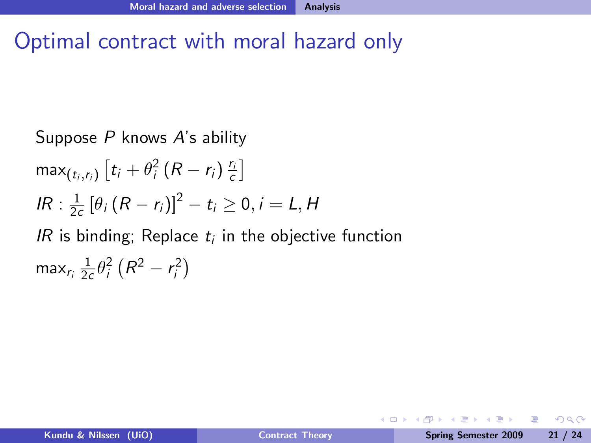# Optimal contract with moral hazard only

Suppose P knows A's ability  $\max_{(t_i,r_i)}\left[t_i+\theta_i^2\left(R-r_i\right)\frac{r_i}{c}\right]$ IR :  $\frac{1}{2}$  $\frac{1}{2c} [\theta_i (R - r_i)]^2 - t_i \ge 0, i = L, H$ IR is binding; Replace  $t_i$  in the objective function max $_{r_i}\frac{1}{2\alpha}$  $\frac{1}{2c}\theta_i^2(R^2 - r_i^2)$ 

4 0 8

D.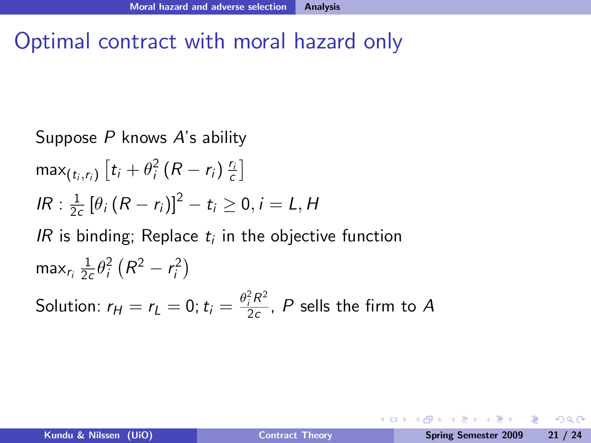# Optimal contract with moral hazard only

Suppose *P* knows *A*'s ability\n
$$
\max_{(t_i, r_i)} [t_i + \theta_i^2 (R - r_i) \frac{r_i}{c}]
$$
\n
$$
IR: \frac{1}{2c} [\theta_i (R - r_i)]^2 - t_i \ge 0, i = L, H
$$
\n
$$
IR \text{ is binding; Replace } t_i \text{ in the objective function}
$$
\n
$$
\max_{r_i} \frac{1}{2c} \theta_i^2 (R^2 - r_i^2)
$$
\nSolution:  $r_H = r_L = 0$ ;  $t_i = \frac{\theta_i^2 R^2}{2c}$ , *P* sells the firm to *A*

Þ

 $QQ$ 

イロト イ伊 トイヨ トイヨト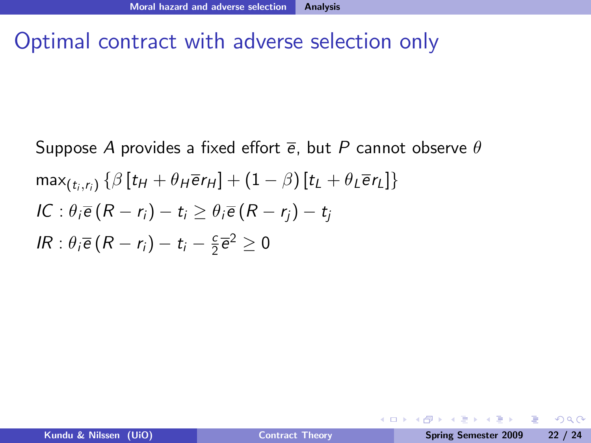## Optimal contract with adverse selection only

Suppose *A* provides a fixed effort 
$$
\overline{e}
$$
, but *P* cannot observe  $\theta$   
\n
$$
\max_{(t_i, r_i)} \{\beta[t_H + \theta_H \overline{e}r_H] + (1 - \beta)[t_L + \theta_L \overline{e}r_L]\}
$$
\n
$$
IC: \theta_i \overline{e}(R - r_i) - t_i \geq \theta_i \overline{e}(R - r_j) - t_j
$$
\n
$$
IR: \theta_i \overline{e}(R - r_i) - t_i - \frac{c}{2} \overline{e}^2 \geq 0
$$

医阿里氏阿里氏

**← ロ ▶ → イ 冊** 

Þ

 $QQ$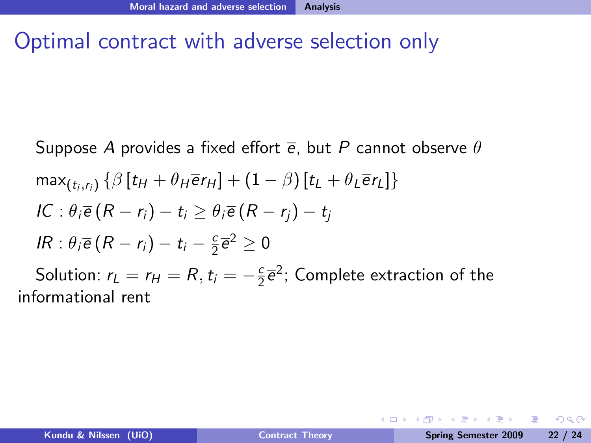# Optimal contract with adverse selection only

Suppose *A* provides a fixed effort 
$$
\overline{e}
$$
, but *P* cannot observe  $\theta$   
\n
$$
\max_{(t_i, r_i)} \{\beta \left[ t_H + \theta_H \overline{e} r_H \right] + (1 - \beta) \left[ t_L + \theta_L \overline{e} r_L \right] \}
$$
\n*IC*:  $\theta_i \overline{e} (R - r_i) - t_i \geq \theta_i \overline{e} (R - r_j) - t_j$   
\n*IR*:  $\theta_i \overline{e} (R - r_i) - t_i - \frac{c}{2} \overline{e}^2 \geq 0$   
\nSolution:  $r_L = r_H = R, t_i = -\frac{c}{2} \overline{e}^2$ ; Complete extraction of the  
\ninformational rent

Þ

 $2990$ 

医阿雷氏阿雷氏

**◆ ロ ▶ → 何**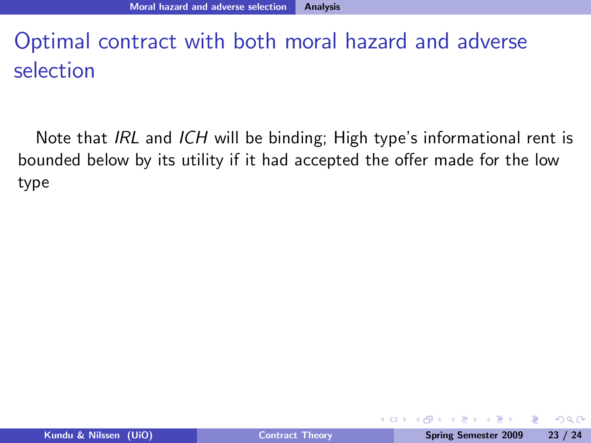Note that IRL and ICH will be binding; High type's informational rent is bounded below by its utility if it had accepted the offer made for the low type

 $200$ 

**A BAKABA** 

4日下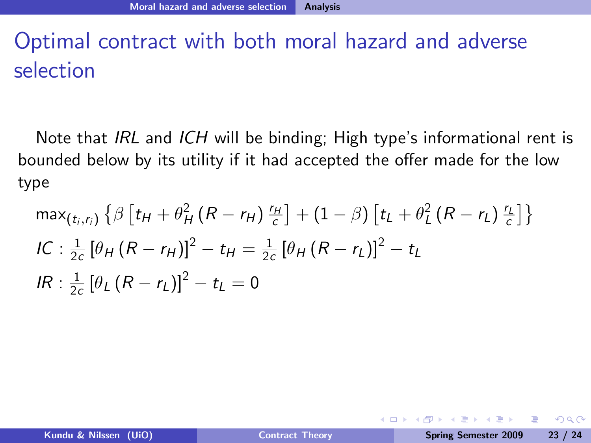Note that IRL and ICH will be binding; High type's informational rent is bounded below by its utility if it had accepted the offer made for the low type

$$
\max_{(t_i,r_i)} \left\{ \beta \left[ t_H + \theta_H^2 \left( R - r_H \right) \frac{r_H}{c} \right] + (1 - \beta) \left[ t_L + \theta_L^2 \left( R - r_L \right) \frac{r_L}{c} \right] \right\}
$$
  
\nIC: 
$$
\frac{1}{2c} \left[ \theta_H \left( R - r_H \right) \right]^2 - t_H = \frac{1}{2c} \left[ \theta_H \left( R - r_L \right) \right]^2 - t_L
$$
  
\nIR: 
$$
\frac{1}{2c} \left[ \theta_L \left( R - r_L \right) \right]^2 - t_L = 0
$$

 $200$ 

**A BAKABA** 

4日下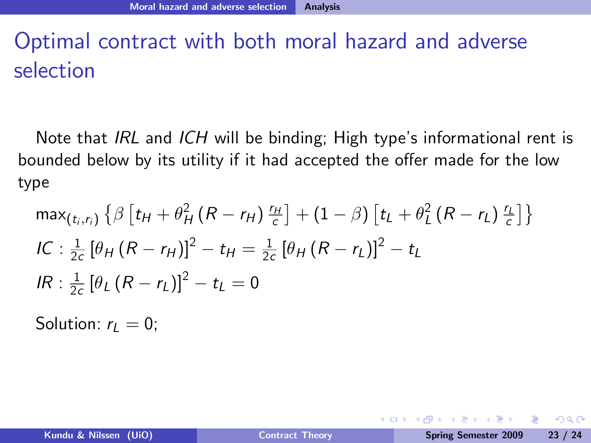Note that IRL and ICH will be binding; High type's informational rent is bounded below by its utility if it had accepted the offer made for the low type

$$
\max_{(t_i, r_i)} \left\{ \beta \left[ t_H + \theta_H^2 \left( R - r_H \right) \frac{r_H}{c} \right] + (1 - \beta) \left[ t_L + \theta_L^2 \left( R - r_L \right) \frac{r_L}{c} \right] \right\}
$$
  
\nIC: 
$$
\frac{1}{2c} \left[ \theta_H \left( R - r_H \right) \right]^2 - t_H = \frac{1}{2c} \left[ \theta_H \left( R - r_L \right) \right]^2 - t_L
$$
  
\nIR: 
$$
\frac{1}{2c} \left[ \theta_L \left( R - r_L \right) \right]^2 - t_L = 0
$$

Solution:  $r_l = 0$ ;

4 0 8 1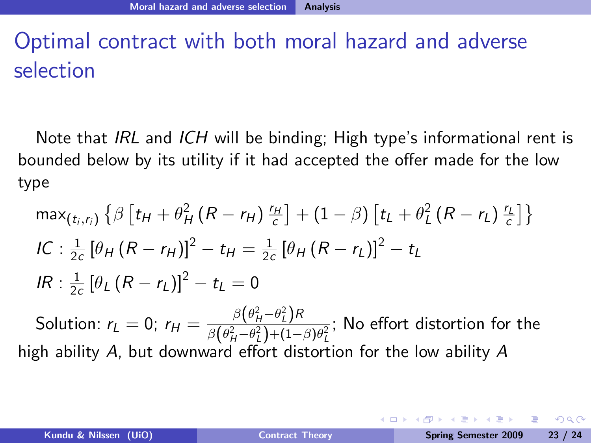Note that IRL and ICH will be binding; High type's informational rent is bounded below by its utility if it had accepted the offer made for the low type

$$
\max_{(t_i,r_i)} \left\{ \beta \left[ t_H + \theta_H^2 \left( R - r_H \right) \frac{r_H}{c} \right] + (1 - \beta) \left[ t_L + \theta_L^2 \left( R - r_L \right) \frac{r_L}{c} \right] \right\}
$$
  
\n
$$
IC: \frac{1}{2c} \left[ \theta_H \left( R - r_H \right) \right]^2 - t_H = \frac{1}{2c} \left[ \theta_H \left( R - r_L \right) \right]^2 - t_L
$$
  
\n
$$
IR: \frac{1}{2c} \left[ \theta_L \left( R - r_L \right) \right]^2 - t_L = 0
$$

Solution:  $r_L = 0$ ;  $r_H = \frac{\beta(\theta_H^2 - \theta_L^2)R}{\beta(\theta_H^2 - \theta_L^2) + (1 - \theta_L^2)}$  $\frac{\beta(\nu_H - \nu_L') \wedge \beta(\rho_H' - \rho_L') + (1-\beta)\theta_L'}{\beta(\theta_H' - \theta_L') + (1-\beta)\theta_L'}$ ; No effort distortion for the high ability  $A$ , but downward effort distortion for the low ability  $A$